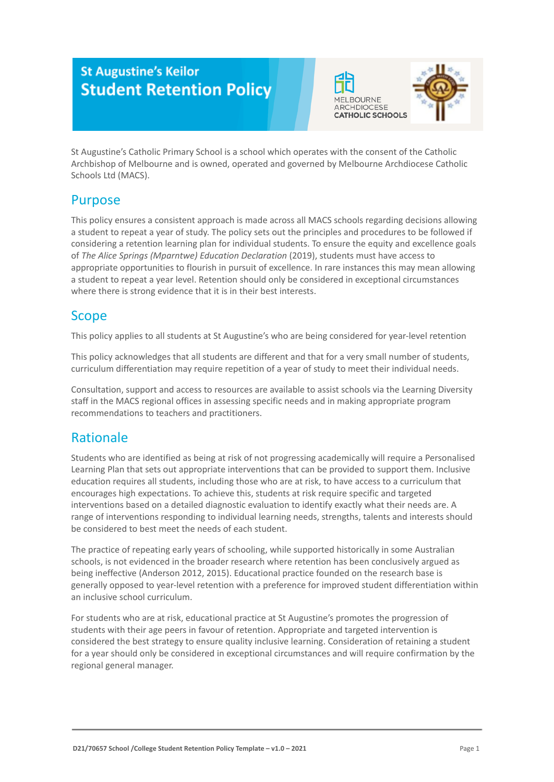# **St Augustine's Keilor Student Retention Policy**





St Augustine's Catholic Primary School is a school which operates with the consent of the Catholic Archbishop of Melbourne and is owned, operated and governed by Melbourne Archdiocese Catholic Schools Ltd (MACS).

# Purpose

This policy ensures a consistent approach is made across all MACS schools regarding decisions allowing a student to repeat a year of study. The policy sets out the principles and procedures to be followed if considering a retention learning plan for individual students. To ensure the equity and excellence goals of *The Alice Springs (Mparntwe) Education Declaration* (2019), students must have access to appropriate opportunities to flourish in pursuit of excellence. In rare instances this may mean allowing a student to repeat a year level. Retention should only be considered in exceptional circumstances where there is strong evidence that it is in their best interests.

## Scope

This policy applies to all students at St Augustine's who are being considered for year-level retention

This policy acknowledges that all students are different and that for a very small number of students, curriculum differentiation may require repetition of a year of study to meet their individual needs.

Consultation, support and access to resources are available to assist schools via the Learning Diversity staff in the MACS regional offices in assessing specific needs and in making appropriate program recommendations to teachers and practitioners.

## Rationale

Students who are identified as being at risk of not progressing academically will require a Personalised Learning Plan that sets out appropriate interventions that can be provided to support them. Inclusive education requires all students, including those who are at risk, to have access to a curriculum that encourages high expectations. To achieve this, students at risk require specific and targeted interventions based on a detailed diagnostic evaluation to identify exactly what their needs are. A range of interventions responding to individual learning needs, strengths, talents and interests should be considered to best meet the needs of each student.

The practice of repeating early years of schooling, while supported historically in some Australian schools, is not evidenced in the broader research where retention has been conclusively argued as being ineffective (Anderson 2012, 2015). Educational practice founded on the research base is generally opposed to year-level retention with a preference for improved student differentiation within an inclusive school curriculum.

For students who are at risk, educational practice at St Augustine's promotes the progression of students with their age peers in favour of retention. Appropriate and targeted intervention is considered the best strategy to ensure quality inclusive learning. Consideration of retaining a student for a year should only be considered in exceptional circumstances and will require confirmation by the regional general manager.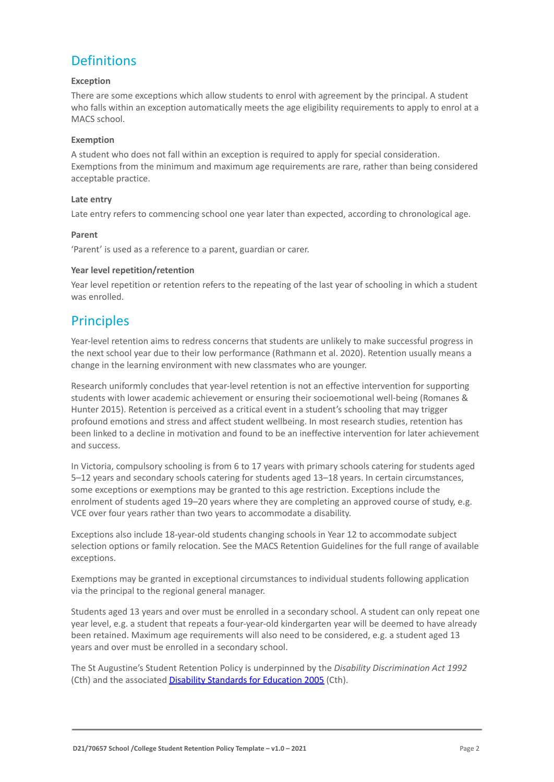# **Definitions**

#### **Exception**

There are some exceptions which allow students to enrol with agreement by the principal. A student who falls within an exception automatically meets the age eligibility requirements to apply to enrol at a MACS school.

#### **Exemption**

A student who does not fall within an exception is required to apply for special consideration. Exemptions from the minimum and maximum age requirements are rare, rather than being considered acceptable practice.

#### **Late entry**

Late entry refers to commencing school one year later than expected, according to chronological age.

#### **Parent**

'Parent' is used as a reference to a parent, guardian or carer.

#### **Year level repetition/retention**

Year level repetition or retention refers to the repeating of the last year of schooling in which a student was enrolled.

## **Principles**

Year-level retention aims to redress concerns that students are unlikely to make successful progress in the next school year due to their low performance (Rathmann et al. 2020). Retention usually means a change in the learning environment with new classmates who are younger.

Research uniformly concludes that year-level retention is not an effective intervention for supporting students with lower academic achievement or ensuring their socioemotional well-being (Romanes & Hunter 2015). Retention is perceived as a critical event in a student's schooling that may trigger profound emotions and stress and affect student wellbeing. In most research studies, retention has been linked to a decline in motivation and found to be an ineffective intervention for later achievement and success.

In Victoria, compulsory schooling is from 6 to 17 years with primary schools catering for students aged 5–12 years and secondary schools catering for students aged 13–18 years. In certain circumstances, some exceptions or exemptions may be granted to this age restriction. Exceptions include the enrolment of students aged 19–20 years where they are completing an approved course of study, e.g. VCE over four years rather than two years to accommodate a disability.

Exceptions also include 18-year-old students changing schools in Year 12 to accommodate subject selection options or family relocation. See the MACS Retention Guidelines for the full range of available exceptions.

Exemptions may be granted in exceptional circumstances to individual students following application via the principal to the regional general manager.

Students aged 13 years and over must be enrolled in a secondary school. A student can only repeat one year level, e.g. a student that repeats a four-year-old kindergarten year will be deemed to have already been retained. Maximum age requirements will also need to be considered, e.g. a student aged 13 years and over must be enrolled in a secondary school.

The St Augustine's Student Retention Policy is underpinned by the *Disability Discrimination Act 1992* (Cth) and the associated [Disability Standards for](https://www.education.gov.au/disability-standards-education-2005) Education 2005 (Cth).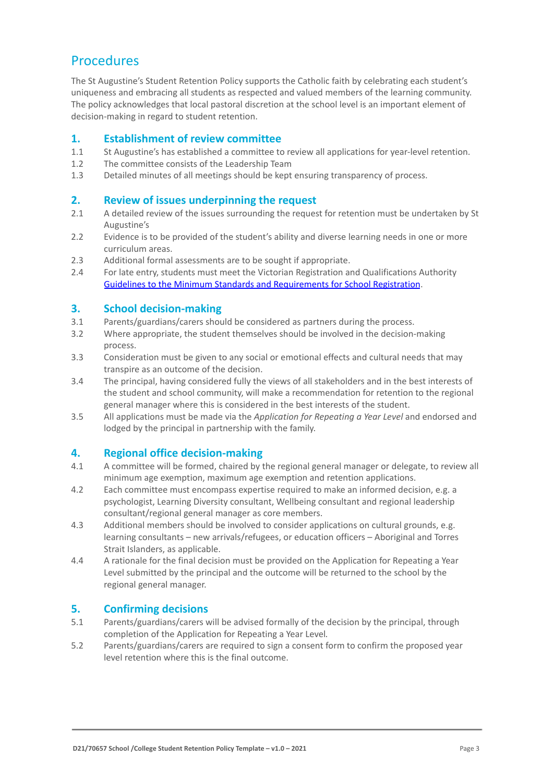# **Procedures**

The St Augustine's Student Retention Policy supports the Catholic faith by celebrating each student's uniqueness and embracing all students as respected and valued members of the learning community. The policy acknowledges that local pastoral discretion at the school level is an important element of decision-making in regard to student retention.

### **1. Establishment of review committee**

- 1.1 St Augustine's has established a committee to review all applications for year-level retention.
- 1.2 The committee consists of the Leadership Team
- 1.3 Detailed minutes of all meetings should be kept ensuring transparency of process.

### **2. Review of issues underpinning the request**

- 2.1 A detailed review of the issues surrounding the request for retention must be undertaken by St Augustine's
- 2.2 Evidence is to be provided of the student's ability and diverse learning needs in one or more curriculum areas.
- 2.3 Additional formal assessments are to be sought if appropriate.
- 2.4 For late entry, students must meet the Victorian Registration and Qualifications Authority [Guidelines to the Minimum Standards and Requirements for School Registration](https://www.vrqa.vic.gov.au/Documents/schoolstandards.docx).

### **3. School decision-making**

- 3.1 Parents/guardians/carers should be considered as partners during the process.
- 3.2 Where appropriate, the student themselves should be involved in the decision-making process.
- 3.3 Consideration must be given to any social or emotional effects and cultural needs that may transpire as an outcome of the decision.
- 3.4 The principal, having considered fully the views of all stakeholders and in the best interests of the student and school community, will make a recommendation for retention to the regional general manager where this is considered in the best interests of the student.
- 3.5 All applications must be made via the *Application for Repeating a Year Level* and endorsed and lodged by the principal in partnership with the family.

### **4. Regional office decision-making**

- 4.1 A committee will be formed, chaired by the regional general manager or delegate, to review all minimum age exemption, maximum age exemption and retention applications.
- 4.2 Each committee must encompass expertise required to make an informed decision, e.g. a psychologist, Learning Diversity consultant, Wellbeing consultant and regional leadership consultant/regional general manager as core members.
- 4.3 Additional members should be involved to consider applications on cultural grounds, e.g. learning consultants – new arrivals/refugees, or education officers – Aboriginal and Torres Strait Islanders, as applicable.
- 4.4 A rationale for the final decision must be provided on the Application for Repeating a Year Level submitted by the principal and the outcome will be returned to the school by the regional general manager.

### **5. Confirming decisions**

- 5.1 Parents/guardians/carers will be advised formally of the decision by the principal, through completion of the Application for Repeating a Year Level*.*
- 5.2 Parents/guardians/carers are required to sign a consent form to confirm the proposed year level retention where this is the final outcome.